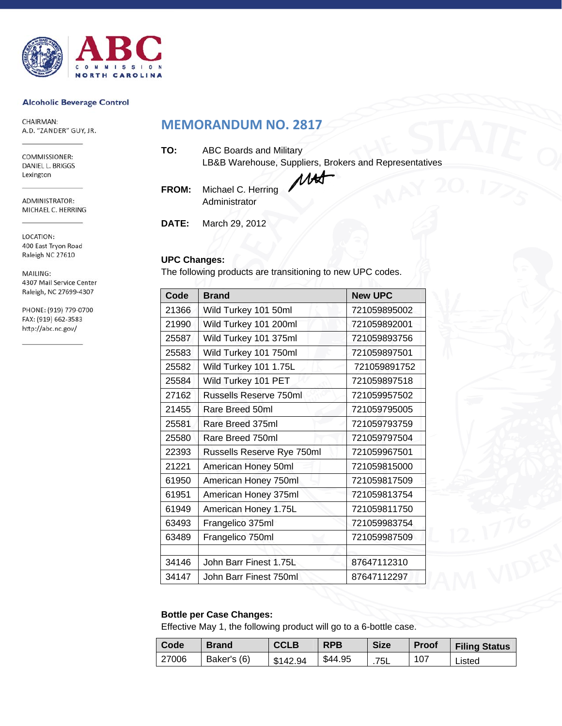

#### **Alcoholic Beverage Control**

CHAIRMAN: A.D. "ZANDER" GUY, JR.

COMMISSIONER: DANIEL L. BRIGGS Lexington

ADMINISTRATOR: MICHAEL C. HERRING

LOCATION: 400 East Tryon Road Raleigh NC 27610

MAILING: 4307 Mail Service Center Raleigh, NC 27699-4307

PHONE: (919) 779-0700 FAX: (919) 662-3583 http://abc.nc.gov/

## **MEMORANDUM NO. 2817**

| TO: | <b>ABC Boards and Military</b>                         |
|-----|--------------------------------------------------------|
|     | LB&B Warehouse, Suppliers, Brokers and Representatives |
|     |                                                        |

**FROM:** Michael C. Herring Administrator

**DATE:** March 29, 2012

## **UPC Changes:**

The following products are transitioning to new UPC codes.

| Code  | <b>Brand</b>               | <b>New UPC</b> |
|-------|----------------------------|----------------|
| 21366 | Wild Turkey 101 50ml       | 721059895002   |
| 21990 | Wild Turkey 101 200ml      | 721059892001   |
| 25587 | Wild Turkey 101 375ml      | 721059893756   |
| 25583 | Wild Turkey 101 750ml      | 721059897501   |
| 25582 | Wild Turkey 101 1.75L      | 721059891752   |
| 25584 | Wild Turkey 101 PET        | 721059897518   |
| 27162 | Russells Reserve 750ml     | 721059957502   |
| 21455 | Rare Breed 50ml            | 721059795005   |
| 25581 | Rare Breed 375ml           | 721059793759   |
| 25580 | Rare Breed 750ml           | 721059797504   |
| 22393 | Russells Reserve Rye 750ml | 721059967501   |
| 21221 | American Honey 50ml        | 721059815000   |
| 61950 | American Honey 750ml       | 721059817509   |
| 61951 | American Honey 375ml       | 721059813754   |
| 61949 | American Honey 1.75L       | 721059811750   |
| 63493 | Frangelico 375ml           | 721059983754   |
| 63489 | Frangelico 750ml           | 721059987509   |
|       |                            |                |
| 34146 | John Barr Finest 1.75L     | 87647112310    |
| 34147 | John Barr Finest 750ml     | 87647112297    |

## **Bottle per Case Changes:**

Effective May 1, the following product will go to a 6-bottle case.

| Code  | <b>Brand</b> | <b>CCLB</b> | <b>RPB</b> | <b>Size</b> | <b>Proof</b> | <b>Filing Status</b> |
|-------|--------------|-------------|------------|-------------|--------------|----------------------|
| 27006 | Baker's (6)  | \$142.94    | \$44.95    | .75L        | 107          | Listed               |